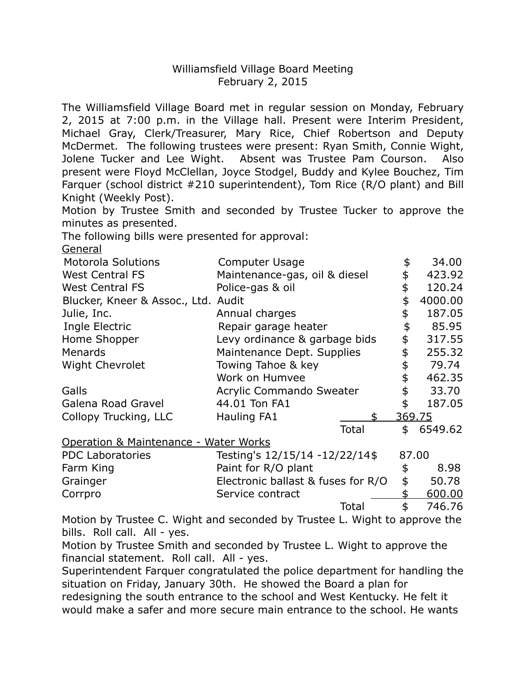## February 2, 2015 Williamsfield Village Board Meeting

 The Williamsfield Village Board met in regular session on Monday, February 2, 2015 at 7:00 p.m. in the Village hall. Present were Interim President, Michael Gray, Clerk/Treasurer, Mary Rice, Chief Robertson and Deputy McDermet. The following trustees were present: Ryan Smith, Connie Wight, Jolene Tucker and Lee Wight. Absent was Trustee Pam Courson. Also present were Floyd McClellan, Joyce Stodgel, Buddy and Kylee Bouchez, Tim Farquer (school district #210 superintendent), Tom Rice (R/O plant) and Bill Knight (Weekly Post).

 Motion by Trustee Smith and seconded by Trustee Tucker to approve the minutes as presented.

The following bills were presented for approval:

General

| <b>Computer Usage</b>                                   |                                     | 34.00   |
|---------------------------------------------------------|-------------------------------------|---------|
| Maintenance-gas, oil & diesel                           | \$                                  | 423.92  |
| Police-gas & oil                                        | \$                                  | 120.24  |
|                                                         | \$                                  | 4000.00 |
| Annual charges                                          | \$                                  | 187.05  |
| Repair garage heater                                    | \$                                  | 85.95   |
| Levy ordinance & garbage bids                           | \$                                  | 317.55  |
| Maintenance Dept. Supplies                              | \$                                  | 255.32  |
| Towing Tahoe & key                                      | \$                                  | 79.74   |
| Work on Humvee                                          | \$                                  | 462.35  |
| Acrylic Commando Sweater                                |                                     | 33.70   |
| 44.01 Ton FA1                                           |                                     | 187.05  |
| Hauling FA1<br>\$.                                      | 369.75                              |         |
| <b>Total</b>                                            | \$                                  | 6549.62 |
| <u><b>Operation &amp; Maintenance - Water Works</b></u> |                                     |         |
| Testing's 12/15/14 -12/22/14\$                          | 87.00                               |         |
| Paint for R/O plant                                     | \$                                  | 8.98    |
| Electronic ballast & fuses for R/O                      | \$                                  | 50.78   |
| Service contract                                        | \$                                  | 600.00  |
| <b>Total</b>                                            | \$                                  | 746.76  |
|                                                         | Blucker, Kneer & Assoc., Ltd. Audit | \$      |

 Motion by Trustee C. Wight and seconded by Trustee L. Wight to approve the bills. Roll call. All - yes.

 Motion by Trustee Smith and seconded by Trustee L. Wight to approve the financial statement. Roll call. All - yes.

 Superintendent Farquer congratulated the police department for handling the situation on Friday, January 30th. He showed the Board a plan for redesigning the south entrance to the school and West Kentucky. He felt it would make a safer and more secure main entrance to the school. He wants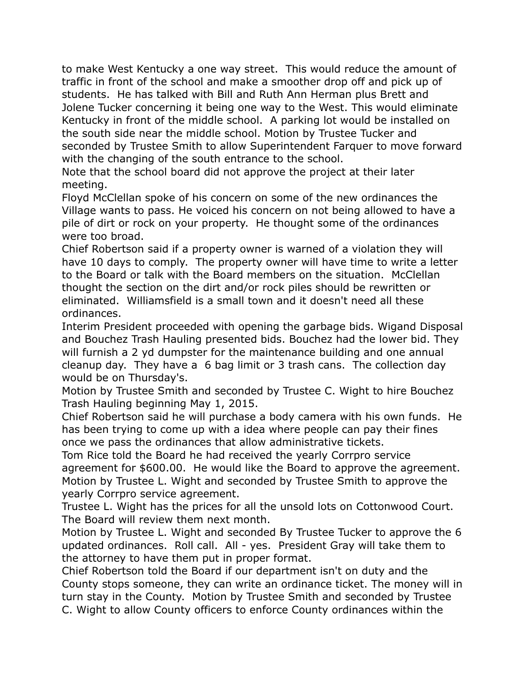to make West Kentucky a one way street. This would reduce the amount of traffic in front of the school and make a smoother drop off and pick up of students. He has talked with Bill and Ruth Ann Herman plus Brett and Jolene Tucker concerning it being one way to the West. This would eliminate Kentucky in front of the middle school. A parking lot would be installed on the south side near the middle school. Motion by Trustee Tucker and seconded by Trustee Smith to allow Superintendent Farquer to move forward with the changing of the south entrance to the school.

 Note that the school board did not approve the project at their later meeting.

 Floyd McClellan spoke of his concern on some of the new ordinances the Village wants to pass. He voiced his concern on not being allowed to have a pile of dirt or rock on your property. He thought some of the ordinances were too broad.

 Chief Robertson said if a property owner is warned of a violation they will have 10 days to comply. The property owner will have time to write a letter to the Board or talk with the Board members on the situation. McClellan thought the section on the dirt and/or rock piles should be rewritten or eliminated. Williamsfield is a small town and it doesn't need all these ordinances.

 Interim President proceeded with opening the garbage bids. Wigand Disposal and Bouchez Trash Hauling presented bids. Bouchez had the lower bid. They will furnish a 2 yd dumpster for the maintenance building and one annual cleanup day. They have a 6 bag limit or 3 trash cans. The collection day would be on Thursday's.

 Motion by Trustee Smith and seconded by Trustee C. Wight to hire Bouchez Trash Hauling beginning May 1, 2015.

 Chief Robertson said he will purchase a body camera with his own funds. He has been trying to come up with a idea where people can pay their fines once we pass the ordinances that allow administrative tickets.

 Tom Rice told the Board he had received the yearly Corrpro service agreement for \$600.00. He would like the Board to approve the agreement. Motion by Trustee L. Wight and seconded by Trustee Smith to approve the yearly Corrpro service agreement.

 Trustee L. Wight has the prices for all the unsold lots on Cottonwood Court. The Board will review them next month.

 Motion by Trustee L. Wight and seconded By Trustee Tucker to approve the 6 updated ordinances. Roll call. All - yes. President Gray will take them to the attorney to have them put in proper format.

 Chief Robertson told the Board if our department isn't on duty and the County stops someone, they can write an ordinance ticket. The money will in turn stay in the County. Motion by Trustee Smith and seconded by Trustee C. Wight to allow County officers to enforce County ordinances within the